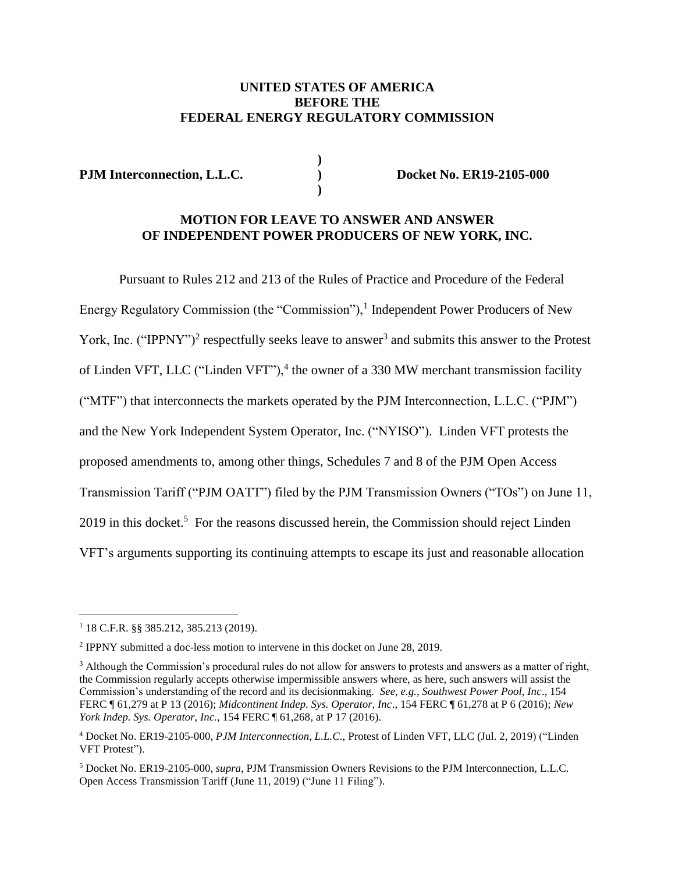### **UNITED STATES OF AMERICA BEFORE THE FEDERAL ENERGY REGULATORY COMMISSION**

**)**

**)**

**PJM Interconnection, L.L.C. ) Docket No. ER19-2105-000**

#### **MOTION FOR LEAVE TO ANSWER AND ANSWER OF INDEPENDENT POWER PRODUCERS OF NEW YORK, INC.**

Pursuant to Rules 212 and 213 of the Rules of Practice and Procedure of the Federal Energy Regulatory Commission (the "Commission"),<sup>1</sup> Independent Power Producers of New York, Inc. ("IPPNY")<sup>2</sup> respectfully seeks leave to answer<sup>3</sup> and submits this answer to the Protest of Linden VFT, LLC ("Linden VFT"), $4$  the owner of a 330 MW merchant transmission facility ("MTF") that interconnects the markets operated by the PJM Interconnection, L.L.C. ("PJM") and the New York Independent System Operator, Inc. ("NYISO"). Linden VFT protests the proposed amendments to, among other things, Schedules 7 and 8 of the PJM Open Access Transmission Tariff ("PJM OATT") filed by the PJM Transmission Owners ("TOs") on June 11, 2019 in this docket.<sup>5</sup> For the reasons discussed herein, the Commission should reject Linden VFT's arguments supporting its continuing attempts to escape its just and reasonable allocation

<sup>1</sup> 18 C.F.R. §§ 385.212, 385.213 (2019).

<sup>&</sup>lt;sup>2</sup> IPPNY submitted a doc-less motion to intervene in this docket on June 28, 2019.

<sup>&</sup>lt;sup>3</sup> Although the Commission's procedural rules do not allow for answers to protests and answers as a matter of right, the Commission regularly accepts otherwise impermissible answers where, as here, such answers will assist the Commission's understanding of the record and its decisionmaking. *See, e.g., Southwest Power Pool, Inc*., 154 FERC ¶ 61,279 at P 13 (2016); *Midcontinent Indep. Sys. Operator, Inc*., 154 FERC ¶ 61,278 at P 6 (2016); *New York Indep. Sys. Operator, Inc.*, 154 FERC ¶ 61,268, at P 17 (2016).

<sup>4</sup> Docket No. ER19-2105-000, *PJM Interconnection, L.L.C*., Protest of Linden VFT, LLC (Jul. 2, 2019) ("Linden VFT Protest").

<sup>5</sup> Docket No. ER19-2105-000, *supra*, PJM Transmission Owners Revisions to the PJM Interconnection, L.L.C. Open Access Transmission Tariff (June 11, 2019) ("June 11 Filing").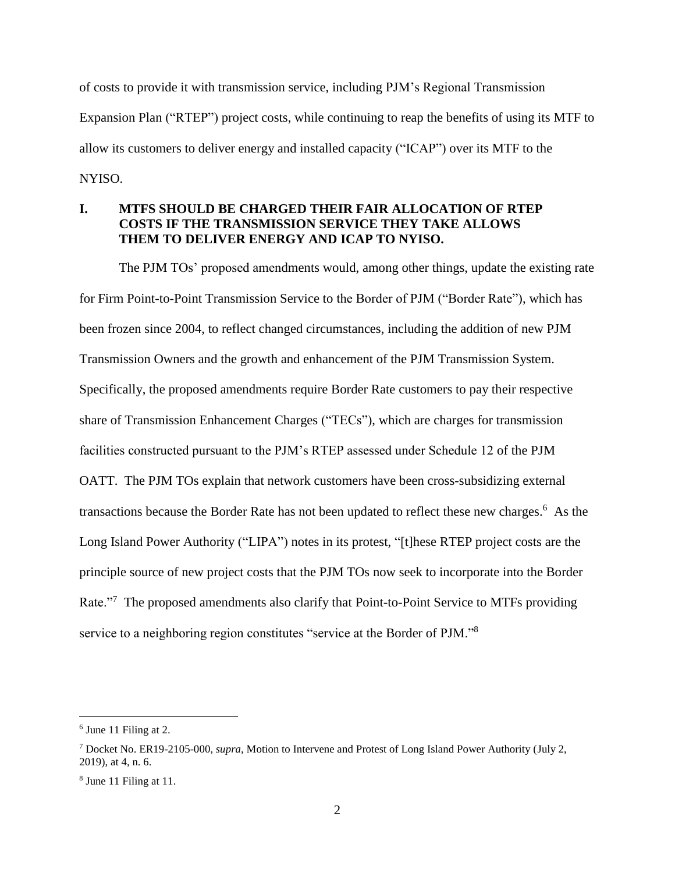of costs to provide it with transmission service, including PJM's Regional Transmission Expansion Plan ("RTEP") project costs, while continuing to reap the benefits of using its MTF to allow its customers to deliver energy and installed capacity ("ICAP") over its MTF to the NYISO.

## **I. MTFS SHOULD BE CHARGED THEIR FAIR ALLOCATION OF RTEP COSTS IF THE TRANSMISSION SERVICE THEY TAKE ALLOWS THEM TO DELIVER ENERGY AND ICAP TO NYISO.**

The PJM TOs' proposed amendments would, among other things, update the existing rate for Firm Point-to-Point Transmission Service to the Border of PJM ("Border Rate"), which has been frozen since 2004, to reflect changed circumstances, including the addition of new PJM Transmission Owners and the growth and enhancement of the PJM Transmission System. Specifically, the proposed amendments require Border Rate customers to pay their respective share of Transmission Enhancement Charges ("TECs"), which are charges for transmission facilities constructed pursuant to the PJM's RTEP assessed under Schedule 12 of the PJM OATT. The PJM TOs explain that network customers have been cross-subsidizing external transactions because the Border Rate has not been updated to reflect these new charges. 6 As the Long Island Power Authority ("LIPA") notes in its protest, "[t]hese RTEP project costs are the principle source of new project costs that the PJM TOs now seek to incorporate into the Border Rate."<sup>7</sup> The proposed amendments also clarify that Point-to-Point Service to MTFs providing service to a neighboring region constitutes "service at the Border of PJM."<sup>8</sup>

<sup>&</sup>lt;sup>6</sup> June 11 Filing at 2.

<sup>7</sup> Docket No. ER19-2105-000, *supra*, Motion to Intervene and Protest of Long Island Power Authority (July 2, 2019), at 4, n. 6.

<sup>8</sup> June 11 Filing at 11.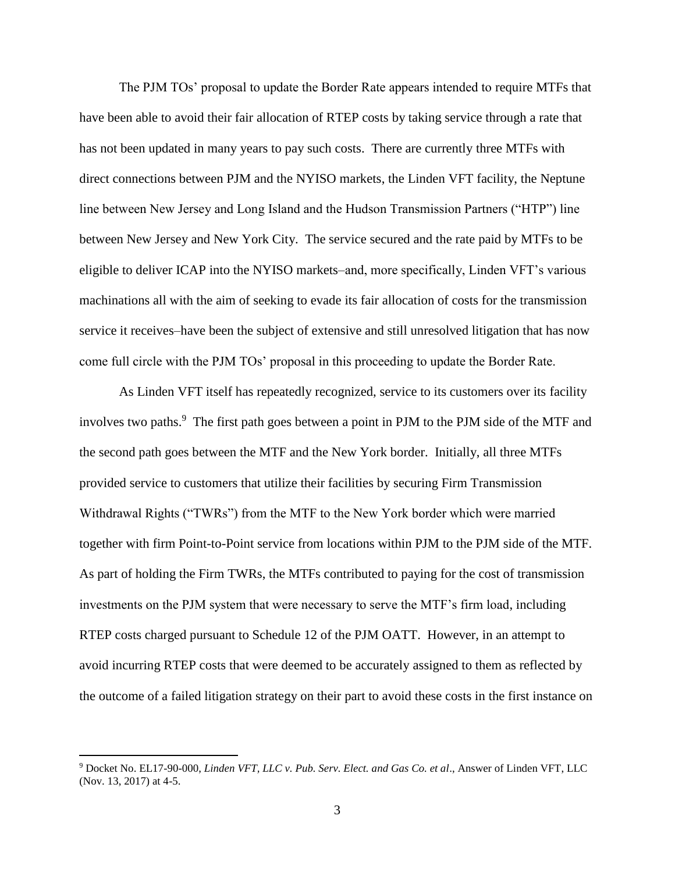The PJM TOs' proposal to update the Border Rate appears intended to require MTFs that have been able to avoid their fair allocation of RTEP costs by taking service through a rate that has not been updated in many years to pay such costs. There are currently three MTFs with direct connections between PJM and the NYISO markets, the Linden VFT facility, the Neptune line between New Jersey and Long Island and the Hudson Transmission Partners ("HTP") line between New Jersey and New York City. The service secured and the rate paid by MTFs to be eligible to deliver ICAP into the NYISO markets–and, more specifically, Linden VFT's various machinations all with the aim of seeking to evade its fair allocation of costs for the transmission service it receives–have been the subject of extensive and still unresolved litigation that has now come full circle with the PJM TOs' proposal in this proceeding to update the Border Rate.

As Linden VFT itself has repeatedly recognized, service to its customers over its facility involves two paths.<sup>9</sup> The first path goes between a point in PJM to the PJM side of the MTF and the second path goes between the MTF and the New York border. Initially, all three MTFs provided service to customers that utilize their facilities by securing Firm Transmission Withdrawal Rights ("TWRs") from the MTF to the New York border which were married together with firm Point-to-Point service from locations within PJM to the PJM side of the MTF. As part of holding the Firm TWRs, the MTFs contributed to paying for the cost of transmission investments on the PJM system that were necessary to serve the MTF's firm load, including RTEP costs charged pursuant to Schedule 12 of the PJM OATT. However, in an attempt to avoid incurring RTEP costs that were deemed to be accurately assigned to them as reflected by the outcome of a failed litigation strategy on their part to avoid these costs in the first instance on

<sup>9</sup> Docket No. EL17-90-000, *Linden VFT, LLC v. Pub. Serv. Elect. and Gas Co. et al*., Answer of Linden VFT, LLC (Nov. 13, 2017) at 4-5.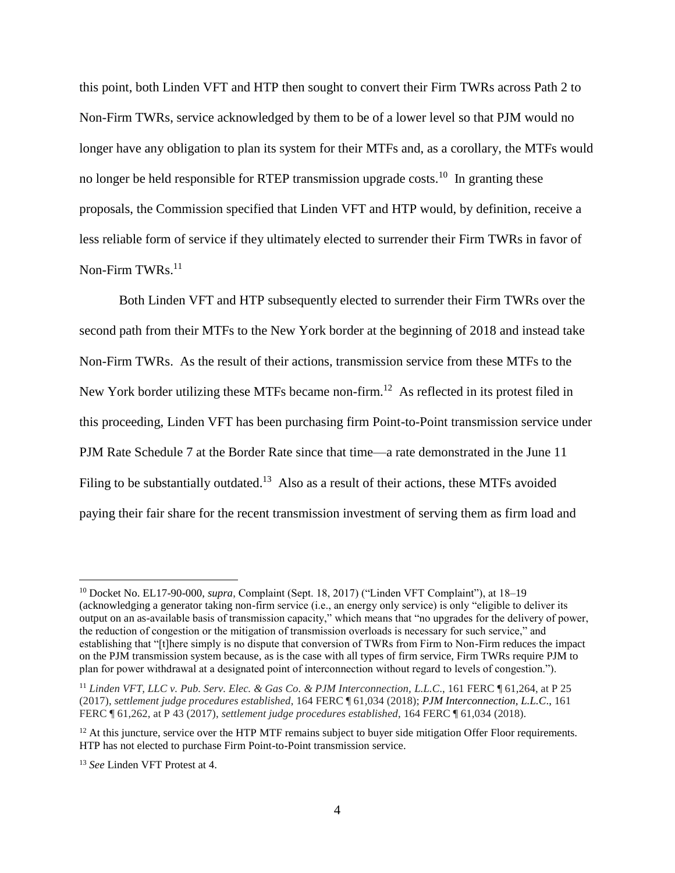this point, both Linden VFT and HTP then sought to convert their Firm TWRs across Path 2 to Non-Firm TWRs, service acknowledged by them to be of a lower level so that PJM would no longer have any obligation to plan its system for their MTFs and, as a corollary, the MTFs would no longer be held responsible for RTEP transmission upgrade costs.<sup>10</sup> In granting these proposals, the Commission specified that Linden VFT and HTP would, by definition, receive a less reliable form of service if they ultimately elected to surrender their Firm TWRs in favor of Non-Firm TWRs.<sup>11</sup>

Both Linden VFT and HTP subsequently elected to surrender their Firm TWRs over the second path from their MTFs to the New York border at the beginning of 2018 and instead take Non-Firm TWRs. As the result of their actions, transmission service from these MTFs to the New York border utilizing these MTFs became non-firm.<sup>12</sup> As reflected in its protest filed in this proceeding, Linden VFT has been purchasing firm Point-to-Point transmission service under PJM Rate Schedule 7 at the Border Rate since that time—a rate demonstrated in the June 11 Filing to be substantially outdated.<sup>13</sup> Also as a result of their actions, these MTFs avoided paying their fair share for the recent transmission investment of serving them as firm load and

<sup>10</sup> Docket No. EL17-90-000, *supra*, Complaint (Sept. 18, 2017) ("Linden VFT Complaint"), at 18–19 (acknowledging a generator taking non-firm service (i.e., an energy only service) is only "eligible to deliver its output on an as-available basis of transmission capacity," which means that "no upgrades for the delivery of power, the reduction of congestion or the mitigation of transmission overloads is necessary for such service," and establishing that "[t]here simply is no dispute that conversion of TWRs from Firm to Non-Firm reduces the impact on the PJM transmission system because, as is the case with all types of firm service, Firm TWRs require PJM to plan for power withdrawal at a designated point of interconnection without regard to levels of congestion.").

<sup>11</sup> *Linden VFT, LLC v. Pub. Serv. Elec. & Gas Co. & PJM Interconnection, L.L.C*., 161 FERC ¶ 61,264, at P 25 (2017), *settlement judge procedures established*, 164 FERC ¶ 61,034 (2018); *PJM Interconnection, L.L.C*., 161 FERC ¶ 61,262, at P 43 (2017), *settlement judge procedures established*, 164 FERC ¶ 61,034 (2018).

 $12$  At this juncture, service over the HTP MTF remains subject to buyer side mitigation Offer Floor requirements. HTP has not elected to purchase Firm Point-to-Point transmission service.

<sup>13</sup> *See* Linden VFT Protest at 4.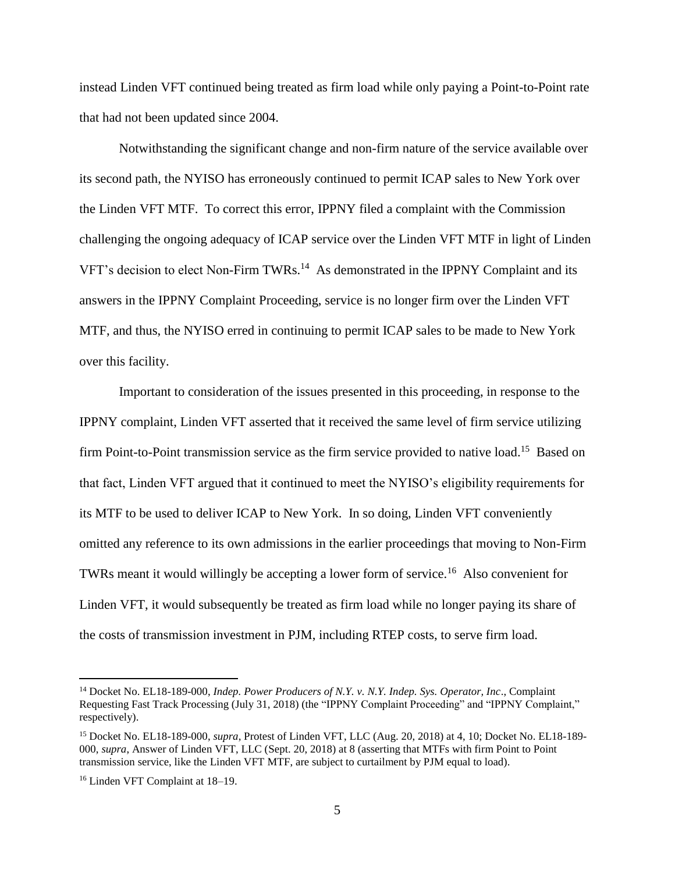instead Linden VFT continued being treated as firm load while only paying a Point-to-Point rate that had not been updated since 2004.

Notwithstanding the significant change and non-firm nature of the service available over its second path, the NYISO has erroneously continued to permit ICAP sales to New York over the Linden VFT MTF. To correct this error, IPPNY filed a complaint with the Commission challenging the ongoing adequacy of ICAP service over the Linden VFT MTF in light of Linden VFT's decision to elect Non-Firm TWRs.<sup>14</sup> As demonstrated in the IPPNY Complaint and its answers in the IPPNY Complaint Proceeding, service is no longer firm over the Linden VFT MTF, and thus, the NYISO erred in continuing to permit ICAP sales to be made to New York over this facility.

Important to consideration of the issues presented in this proceeding, in response to the IPPNY complaint, Linden VFT asserted that it received the same level of firm service utilizing firm Point-to-Point transmission service as the firm service provided to native load.<sup>15</sup> Based on that fact, Linden VFT argued that it continued to meet the NYISO's eligibility requirements for its MTF to be used to deliver ICAP to New York. In so doing, Linden VFT conveniently omitted any reference to its own admissions in the earlier proceedings that moving to Non-Firm TWRs meant it would willingly be accepting a lower form of service.<sup>16</sup> Also convenient for Linden VFT, it would subsequently be treated as firm load while no longer paying its share of the costs of transmission investment in PJM, including RTEP costs, to serve firm load.

<sup>14</sup> Docket No. EL18-189-000, *Indep. Power Producers of N.Y. v. N.Y. Indep. Sys. Operator, Inc*., Complaint Requesting Fast Track Processing (July 31, 2018) (the "IPPNY Complaint Proceeding" and "IPPNY Complaint," respectively).

<sup>15</sup> Docket No. EL18-189-000, *supra*, Protest of Linden VFT, LLC (Aug. 20, 2018) at 4, 10; Docket No. EL18-189- 000, *supra*, Answer of Linden VFT, LLC (Sept. 20, 2018) at 8 (asserting that MTFs with firm Point to Point transmission service, like the Linden VFT MTF, are subject to curtailment by PJM equal to load).

<sup>16</sup> Linden VFT Complaint at 18–19.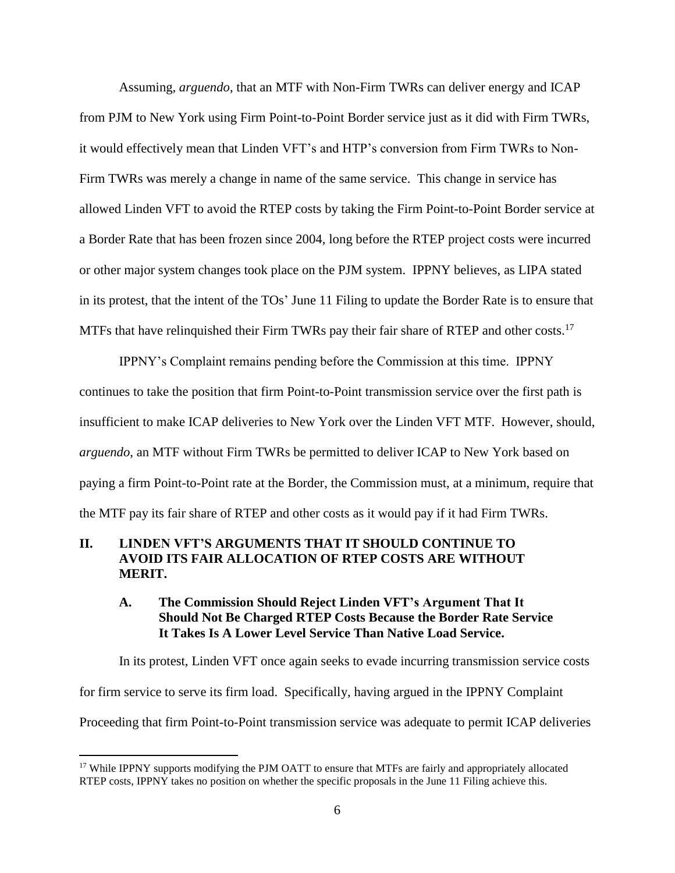Assuming, *arguendo*, that an MTF with Non-Firm TWRs can deliver energy and ICAP from PJM to New York using Firm Point-to-Point Border service just as it did with Firm TWRs, it would effectively mean that Linden VFT's and HTP's conversion from Firm TWRs to Non-Firm TWRs was merely a change in name of the same service. This change in service has allowed Linden VFT to avoid the RTEP costs by taking the Firm Point-to-Point Border service at a Border Rate that has been frozen since 2004, long before the RTEP project costs were incurred or other major system changes took place on the PJM system. IPPNY believes, as LIPA stated in its protest, that the intent of the TOs' June 11 Filing to update the Border Rate is to ensure that MTFs that have relinquished their Firm TWRs pay their fair share of RTEP and other costs.<sup>17</sup>

IPPNY's Complaint remains pending before the Commission at this time. IPPNY continues to take the position that firm Point-to-Point transmission service over the first path is insufficient to make ICAP deliveries to New York over the Linden VFT MTF. However, should, *arguendo*, an MTF without Firm TWRs be permitted to deliver ICAP to New York based on paying a firm Point-to-Point rate at the Border, the Commission must, at a minimum, require that the MTF pay its fair share of RTEP and other costs as it would pay if it had Firm TWRs.

### **II. LINDEN VFT'S ARGUMENTS THAT IT SHOULD CONTINUE TO AVOID ITS FAIR ALLOCATION OF RTEP COSTS ARE WITHOUT MERIT.**

### **A. The Commission Should Reject Linden VFT's Argument That It Should Not Be Charged RTEP Costs Because the Border Rate Service It Takes Is A Lower Level Service Than Native Load Service.**

In its protest, Linden VFT once again seeks to evade incurring transmission service costs for firm service to serve its firm load. Specifically, having argued in the IPPNY Complaint Proceeding that firm Point-to-Point transmission service was adequate to permit ICAP deliveries

<sup>&</sup>lt;sup>17</sup> While IPPNY supports modifying the PJM OATT to ensure that MTFs are fairly and appropriately allocated RTEP costs, IPPNY takes no position on whether the specific proposals in the June 11 Filing achieve this.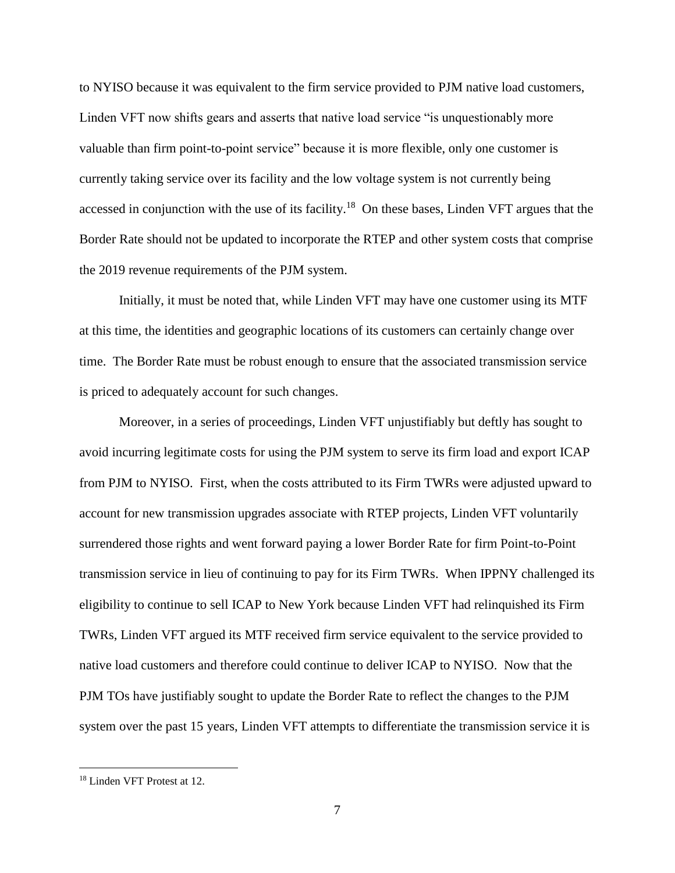to NYISO because it was equivalent to the firm service provided to PJM native load customers, Linden VFT now shifts gears and asserts that native load service "is unquestionably more valuable than firm point-to-point service" because it is more flexible, only one customer is currently taking service over its facility and the low voltage system is not currently being accessed in conjunction with the use of its facility.<sup>18</sup> On these bases, Linden VFT argues that the Border Rate should not be updated to incorporate the RTEP and other system costs that comprise the 2019 revenue requirements of the PJM system.

Initially, it must be noted that, while Linden VFT may have one customer using its MTF at this time, the identities and geographic locations of its customers can certainly change over time. The Border Rate must be robust enough to ensure that the associated transmission service is priced to adequately account for such changes.

Moreover, in a series of proceedings, Linden VFT unjustifiably but deftly has sought to avoid incurring legitimate costs for using the PJM system to serve its firm load and export ICAP from PJM to NYISO. First, when the costs attributed to its Firm TWRs were adjusted upward to account for new transmission upgrades associate with RTEP projects, Linden VFT voluntarily surrendered those rights and went forward paying a lower Border Rate for firm Point-to-Point transmission service in lieu of continuing to pay for its Firm TWRs. When IPPNY challenged its eligibility to continue to sell ICAP to New York because Linden VFT had relinquished its Firm TWRs, Linden VFT argued its MTF received firm service equivalent to the service provided to native load customers and therefore could continue to deliver ICAP to NYISO. Now that the PJM TOs have justifiably sought to update the Border Rate to reflect the changes to the PJM system over the past 15 years, Linden VFT attempts to differentiate the transmission service it is

<sup>18</sup> Linden VFT Protest at 12.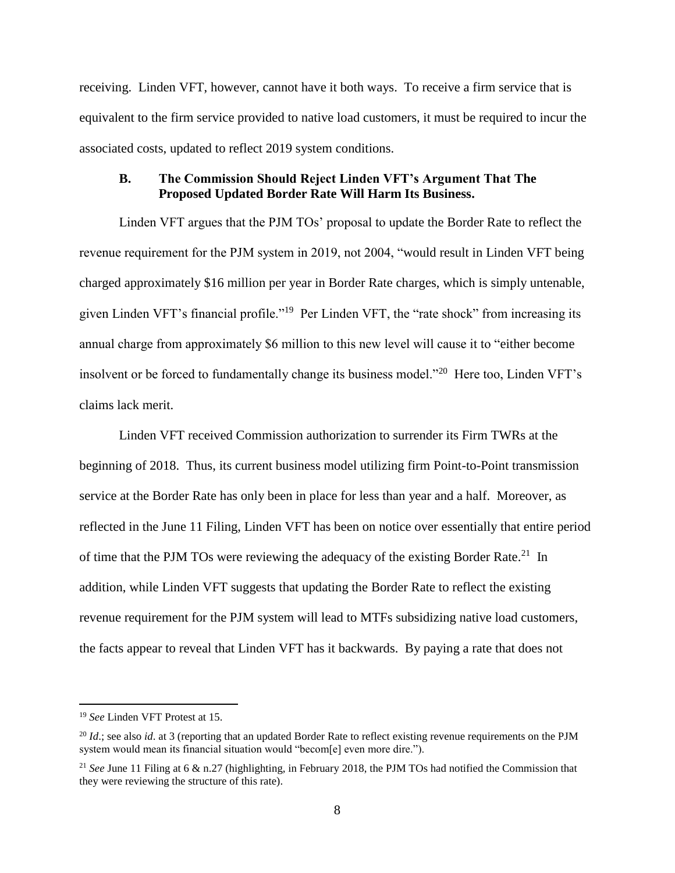receiving. Linden VFT, however, cannot have it both ways. To receive a firm service that is equivalent to the firm service provided to native load customers, it must be required to incur the associated costs, updated to reflect 2019 system conditions.

### **B. The Commission Should Reject Linden VFT's Argument That The Proposed Updated Border Rate Will Harm Its Business.**

Linden VFT argues that the PJM TOs' proposal to update the Border Rate to reflect the revenue requirement for the PJM system in 2019, not 2004, "would result in Linden VFT being charged approximately \$16 million per year in Border Rate charges, which is simply untenable, given Linden VFT's financial profile."<sup>19</sup> Per Linden VFT, the "rate shock" from increasing its annual charge from approximately \$6 million to this new level will cause it to "either become insolvent or be forced to fundamentally change its business model."<sup>20</sup> Here too, Linden VFT's claims lack merit.

Linden VFT received Commission authorization to surrender its Firm TWRs at the beginning of 2018. Thus, its current business model utilizing firm Point-to-Point transmission service at the Border Rate has only been in place for less than year and a half. Moreover, as reflected in the June 11 Filing, Linden VFT has been on notice over essentially that entire period of time that the PJM TOs were reviewing the adequacy of the existing Border Rate.<sup>21</sup> In addition, while Linden VFT suggests that updating the Border Rate to reflect the existing revenue requirement for the PJM system will lead to MTFs subsidizing native load customers, the facts appear to reveal that Linden VFT has it backwards. By paying a rate that does not

<sup>19</sup> *See* Linden VFT Protest at 15.

<sup>&</sup>lt;sup>20</sup> *Id.*; see also *id.* at 3 (reporting that an updated Border Rate to reflect existing revenue requirements on the PJM system would mean its financial situation would "becom[e] even more dire.").

<sup>&</sup>lt;sup>21</sup> *See* June 11 Filing at 6 & n.27 (highlighting, in February 2018, the PJM TOs had notified the Commission that they were reviewing the structure of this rate).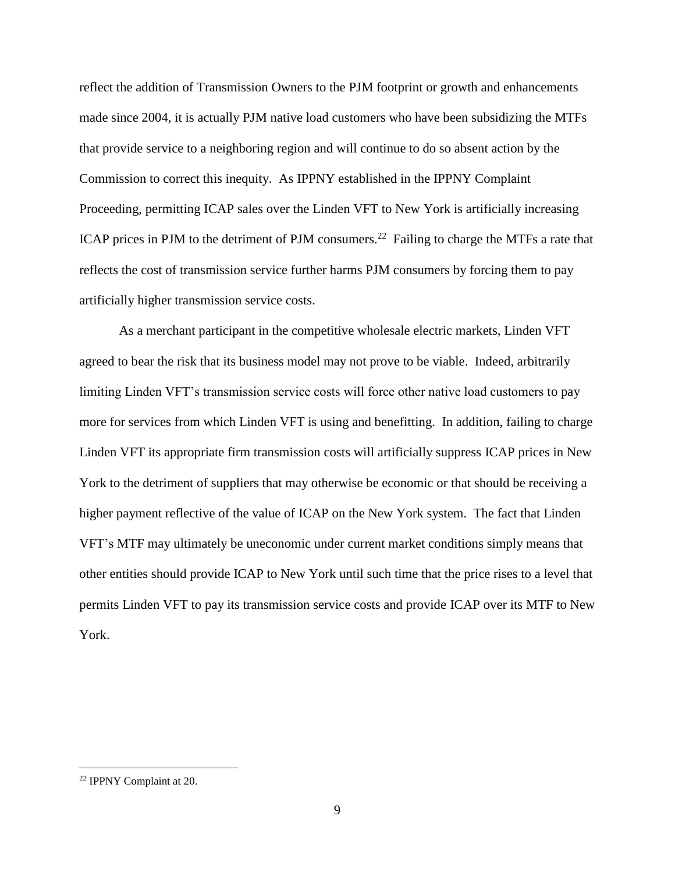reflect the addition of Transmission Owners to the PJM footprint or growth and enhancements made since 2004, it is actually PJM native load customers who have been subsidizing the MTFs that provide service to a neighboring region and will continue to do so absent action by the Commission to correct this inequity. As IPPNY established in the IPPNY Complaint Proceeding, permitting ICAP sales over the Linden VFT to New York is artificially increasing ICAP prices in PJM to the detriment of PJM consumers.<sup>22</sup> Failing to charge the MTFs a rate that reflects the cost of transmission service further harms PJM consumers by forcing them to pay artificially higher transmission service costs.

As a merchant participant in the competitive wholesale electric markets, Linden VFT agreed to bear the risk that its business model may not prove to be viable. Indeed, arbitrarily limiting Linden VFT's transmission service costs will force other native load customers to pay more for services from which Linden VFT is using and benefitting. In addition, failing to charge Linden VFT its appropriate firm transmission costs will artificially suppress ICAP prices in New York to the detriment of suppliers that may otherwise be economic or that should be receiving a higher payment reflective of the value of ICAP on the New York system. The fact that Linden VFT's MTF may ultimately be uneconomic under current market conditions simply means that other entities should provide ICAP to New York until such time that the price rises to a level that permits Linden VFT to pay its transmission service costs and provide ICAP over its MTF to New York.

<sup>22</sup> IPPNY Complaint at 20.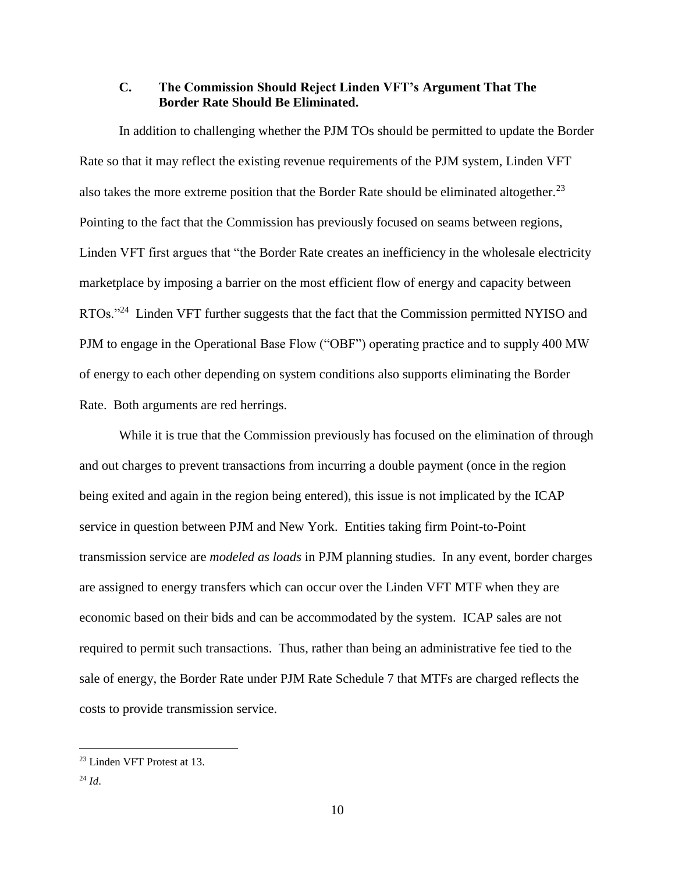#### **C. The Commission Should Reject Linden VFT's Argument That The Border Rate Should Be Eliminated.**

In addition to challenging whether the PJM TOs should be permitted to update the Border Rate so that it may reflect the existing revenue requirements of the PJM system, Linden VFT also takes the more extreme position that the Border Rate should be eliminated altogether.<sup>23</sup> Pointing to the fact that the Commission has previously focused on seams between regions, Linden VFT first argues that "the Border Rate creates an inefficiency in the wholesale electricity marketplace by imposing a barrier on the most efficient flow of energy and capacity between RTOs."<sup>24</sup> Linden VFT further suggests that the fact that the Commission permitted NYISO and PJM to engage in the Operational Base Flow ("OBF") operating practice and to supply 400 MW of energy to each other depending on system conditions also supports eliminating the Border Rate. Both arguments are red herrings.

While it is true that the Commission previously has focused on the elimination of through and out charges to prevent transactions from incurring a double payment (once in the region being exited and again in the region being entered), this issue is not implicated by the ICAP service in question between PJM and New York. Entities taking firm Point-to-Point transmission service are *modeled as loads* in PJM planning studies. In any event, border charges are assigned to energy transfers which can occur over the Linden VFT MTF when they are economic based on their bids and can be accommodated by the system. ICAP sales are not required to permit such transactions. Thus, rather than being an administrative fee tied to the sale of energy, the Border Rate under PJM Rate Schedule 7 that MTFs are charged reflects the costs to provide transmission service.

<sup>23</sup> Linden VFT Protest at 13.

<sup>24</sup> *Id*.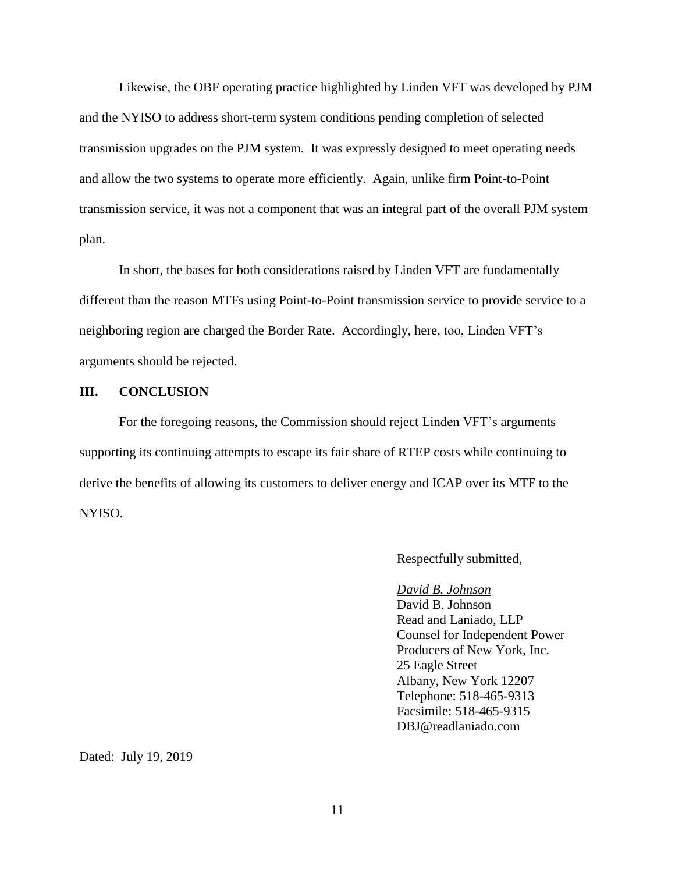Likewise, the OBF operating practice highlighted by Linden VFT was developed by PJM and the NYISO to address short-term system conditions pending completion of selected transmission upgrades on the PJM system. It was expressly designed to meet operating needs and allow the two systems to operate more efficiently. Again, unlike firm Point-to-Point transmission service, it was not a component that was an integral part of the overall PJM system plan.

In short, the bases for both considerations raised by Linden VFT are fundamentally different than the reason MTFs using Point-to-Point transmission service to provide service to a neighboring region are charged the Border Rate. Accordingly, here, too, Linden VFT's arguments should be rejected.

#### **III. CONCLUSION**

For the foregoing reasons, the Commission should reject Linden VFT's arguments supporting its continuing attempts to escape its fair share of RTEP costs while continuing to derive the benefits of allowing its customers to deliver energy and ICAP over its MTF to the NYISO.

Respectfully submitted,

#### *David B. Johnson*

David B. Johnson Read and Laniado, LLP Counsel for Independent Power Producers of New York, Inc. 25 Eagle Street Albany, New York 12207 Telephone: 518-465-9313 Facsimile: 518-465-9315 DBJ@readlaniado.com

Dated: July 19, 2019